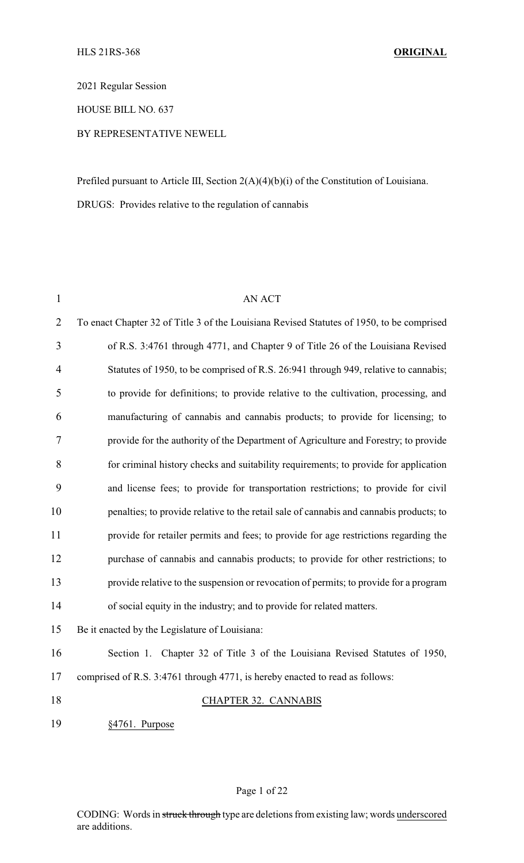2021 Regular Session

HOUSE BILL NO. 637

#### BY REPRESENTATIVE NEWELL

Prefiled pursuant to Article III, Section 2(A)(4)(b)(i) of the Constitution of Louisiana. DRUGS: Provides relative to the regulation of cannabis

| $\mathbf{1}$   | <b>AN ACT</b>                                                                             |
|----------------|-------------------------------------------------------------------------------------------|
| $\overline{2}$ | To enact Chapter 32 of Title 3 of the Louisiana Revised Statutes of 1950, to be comprised |
| 3              | of R.S. 3:4761 through 4771, and Chapter 9 of Title 26 of the Louisiana Revised           |
| 4              | Statutes of 1950, to be comprised of R.S. 26:941 through 949, relative to cannabis;       |
| 5              | to provide for definitions; to provide relative to the cultivation, processing, and       |
| 6              | manufacturing of cannabis and cannabis products; to provide for licensing; to             |
| 7              | provide for the authority of the Department of Agriculture and Forestry; to provide       |
| 8              | for criminal history checks and suitability requirements; to provide for application      |
| 9              | and license fees; to provide for transportation restrictions; to provide for civil        |
| 10             | penalties; to provide relative to the retail sale of cannabis and cannabis products; to   |
| 11             | provide for retailer permits and fees; to provide for age restrictions regarding the      |
| 12             | purchase of cannabis and cannabis products; to provide for other restrictions; to         |
| 13             | provide relative to the suspension or revocation of permits; to provide for a program     |
| 14             | of social equity in the industry; and to provide for related matters.                     |
| 15             | Be it enacted by the Legislature of Louisiana:                                            |
| 16             | Section 1. Chapter 32 of Title 3 of the Louisiana Revised Statutes of 1950,               |
| 17             | comprised of R.S. 3:4761 through 4771, is hereby enacted to read as follows:              |
| 18             | <b>CHAPTER 32. CANNABIS</b>                                                               |
| 19             | §4761. Purpose                                                                            |
|                |                                                                                           |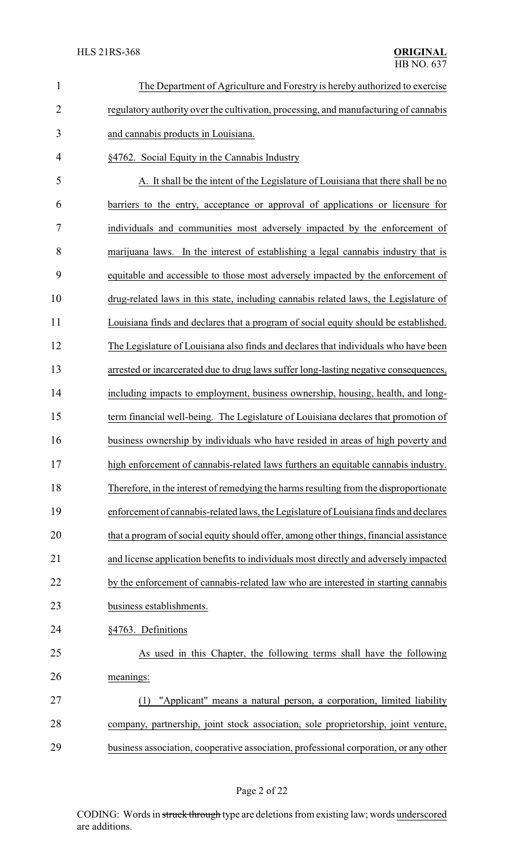| $\mathbf{1}$   | The Department of Agriculture and Forestry is hereby authorized to exercise            |
|----------------|----------------------------------------------------------------------------------------|
| $\overline{2}$ | regulatory authority over the cultivation, processing, and manufacturing of cannabis   |
| 3              | and cannabis products in Louisiana.                                                    |
| $\overline{4}$ | §4762. Social Equity in the Cannabis Industry                                          |
| 5              | A. It shall be the intent of the Legislature of Louisiana that there shall be no       |
| 6              | barriers to the entry, acceptance or approval of applications or licensure for         |
| 7              | individuals and communities most adversely impacted by the enforcement of              |
| 8              | marijuana laws. In the interest of establishing a legal cannabis industry that is      |
| 9              | equitable and accessible to those most adversely impacted by the enforcement of        |
| 10             | drug-related laws in this state, including cannabis related laws, the Legislature of   |
| 11             | Louisiana finds and declares that a program of social equity should be established.    |
| 12             | The Legislature of Louisiana also finds and declares that individuals who have been    |
| 13             | arrested or incarcerated due to drug laws suffer long-lasting negative consequences,   |
| 14             | including impacts to employment, business ownership, housing, health, and long-        |
| 15             | term financial well-being. The Legislature of Louisiana declares that promotion of     |
| 16             | business ownership by individuals who have resided in areas of high poverty and        |
| 17             | high enforcement of cannabis-related laws furthers an equitable cannabis industry.     |
| 18             | Therefore, in the interest of remedying the harms resulting from the disproportionate  |
| 19             | enforcement of cannabis-related laws, the Legislature of Louisiana finds and declares  |
| 20             | that a program of social equity should offer, among other things, financial assistance |
| 21             | and license application benefits to individuals most directly and adversely impacted   |
| 22             | by the enforcement of cannabis-related law who are interested in starting cannabis     |
| 23             | business establishments.                                                               |
| 24             | §4763. Definitions                                                                     |
| 25             | As used in this Chapter, the following terms shall have the following                  |
| 26             | meanings:                                                                              |
| 27             | "Applicant" means a natural person, a corporation, limited liability<br>(1)            |
| 28             | company, partnership, joint stock association, sole proprietorship, joint venture,     |
| 29             | business association, cooperative association, professional corporation, or any other  |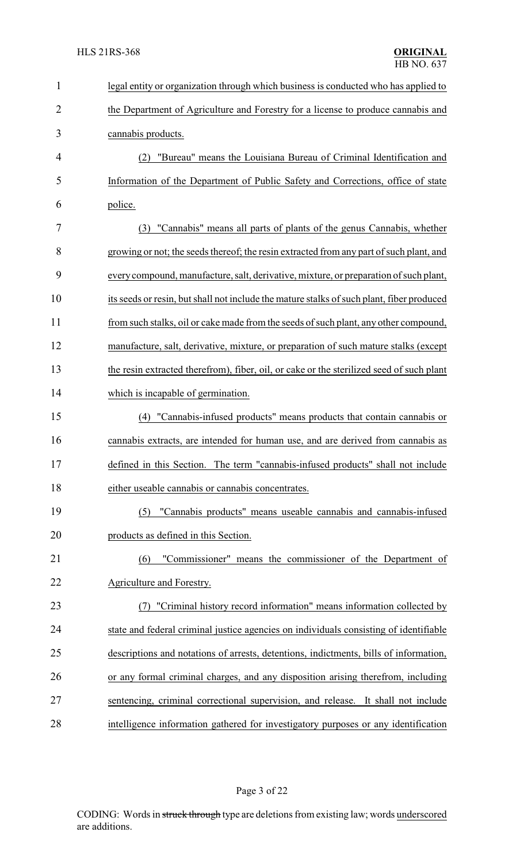| 1              | legal entity or organization through which business is conducted who has applied to       |
|----------------|-------------------------------------------------------------------------------------------|
| $\overline{2}$ | the Department of Agriculture and Forestry for a license to produce cannabis and          |
| 3              | cannabis products.                                                                        |
| 4              | "Bureau" means the Louisiana Bureau of Criminal Identification and<br>(2)                 |
| 5              | Information of the Department of Public Safety and Corrections, office of state           |
| 6              | police.                                                                                   |
| 7              | (3) "Cannabis" means all parts of plants of the genus Cannabis, whether                   |
| 8              | growing or not; the seeds thereof; the resin extracted from any part of such plant, and   |
| 9              | every compound, manufacture, salt, derivative, mixture, or preparation of such plant,     |
| 10             | its seeds or resin, but shall not include the mature stalks of such plant, fiber produced |
| 11             | from such stalks, oil or cake made from the seeds of such plant, any other compound,      |
| 12             | manufacture, salt, derivative, mixture, or preparation of such mature stalks (except      |
| 13             | the resin extracted therefrom), fiber, oil, or cake or the sterilized seed of such plant  |
| 14             | which is incapable of germination.                                                        |
| 15             | (4) "Cannabis-infused products" means products that contain cannabis or                   |
| 16             | cannabis extracts, are intended for human use, and are derived from cannabis as           |
| 17             | defined in this Section. The term "cannabis-infused products" shall not include           |
| 18             | either useable cannabis or cannabis concentrates.                                         |
| 19             | "Cannabis products" means useable cannabis and cannabis-infused<br>(5)                    |
| 20             | products as defined in this Section.                                                      |
| 21             | "Commissioner" means the commissioner of the Department of<br>(6)                         |
| 22             | Agriculture and Forestry.                                                                 |
| 23             | "Criminal history record information" means information collected by                      |
| 24             | state and federal criminal justice agencies on individuals consisting of identifiable     |
| 25             | descriptions and notations of arrests, detentions, indictments, bills of information,     |
| 26             | or any formal criminal charges, and any disposition arising therefrom, including          |
| 27             | sentencing, criminal correctional supervision, and release. It shall not include          |
| 28             | intelligence information gathered for investigatory purposes or any identification        |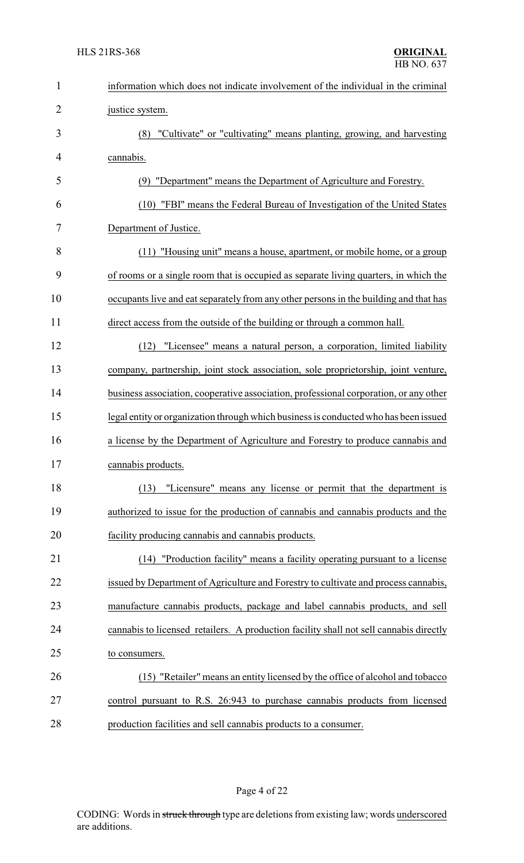| $\mathbf{1}$   | information which does not indicate involvement of the individual in the criminal      |
|----------------|----------------------------------------------------------------------------------------|
| $\overline{2}$ | justice system.                                                                        |
| 3              | (8) "Cultivate" or "cultivating" means planting, growing, and harvesting               |
| $\overline{4}$ | cannabis.                                                                              |
| 5              | (9) "Department" means the Department of Agriculture and Forestry.                     |
| 6              | (10) "FBI" means the Federal Bureau of Investigation of the United States              |
| 7              | Department of Justice.                                                                 |
| 8              | (11) "Housing unit" means a house, apartment, or mobile home, or a group               |
| 9              | of rooms or a single room that is occupied as separate living quarters, in which the   |
| 10             | occupants live and eat separately from any other persons in the building and that has  |
| 11             | direct access from the outside of the building or through a common hall.               |
| 12             | "Licensee" means a natural person, a corporation, limited liability<br>(12)            |
| 13             | company, partnership, joint stock association, sole proprietorship, joint venture,     |
| 14             | business association, cooperative association, professional corporation, or any other  |
| 15             | legal entity or organization through which business is conducted who has been issued   |
| 16             | a license by the Department of Agriculture and Forestry to produce cannabis and        |
| 17             | cannabis products.                                                                     |
| 18             | "Licensure" means any license or permit that the department is<br>(13)                 |
| 19             | authorized to issue for the production of cannabis and cannabis products and the       |
| 20             | facility producing cannabis and cannabis products.                                     |
| 21             | "Production facility" means a facility operating pursuant to a license<br>(14)         |
| 22             | issued by Department of Agriculture and Forestry to cultivate and process cannabis,    |
| 23             | manufacture cannabis products, package and label cannabis products, and sell           |
| 24             | cannabis to licensed retailers. A production facility shall not sell cannabis directly |
| 25             | to consumers.                                                                          |
| 26             | (15) "Retailer" means an entity licensed by the office of alcohol and tobacco          |
| 27             | control pursuant to R.S. 26:943 to purchase cannabis products from licensed            |
| 28             | production facilities and sell cannabis products to a consumer.                        |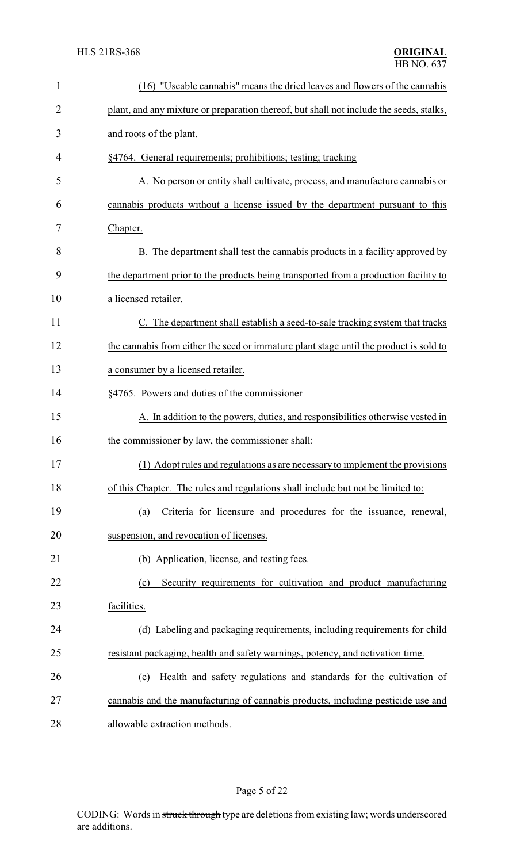| $\mathbf{1}$ | (16) "Useable cannabis" means the dried leaves and flowers of the cannabis              |
|--------------|-----------------------------------------------------------------------------------------|
| 2            | plant, and any mixture or preparation thereof, but shall not include the seeds, stalks, |
| 3            | and roots of the plant.                                                                 |
| 4            | §4764. General requirements; prohibitions; testing; tracking                            |
| 5            | A. No person or entity shall cultivate, process, and manufacture cannabis or            |
| 6            | cannabis products without a license issued by the department pursuant to this           |
| 7            | Chapter.                                                                                |
| 8            | B. The department shall test the cannabis products in a facility approved by            |
| 9            | the department prior to the products being transported from a production facility to    |
| 10           | a licensed retailer.                                                                    |
| 11           | C. The department shall establish a seed-to-sale tracking system that tracks            |
| 12           | the cannabis from either the seed or immature plant stage until the product is sold to  |
| 13           | a consumer by a licensed retailer.                                                      |
| 14           | §4765. Powers and duties of the commissioner                                            |
| 15           | A. In addition to the powers, duties, and responsibilities otherwise vested in          |
| 16           | the commissioner by law, the commissioner shall:                                        |
| 17           | (1) Adopt rules and regulations as are necessary to implement the provisions            |
| 18           | of this Chapter. The rules and regulations shall include but not be limited to:         |
| 19           | Criteria for licensure and procedures for the issuance, renewal,<br>(a)                 |
| 20           | suspension, and revocation of licenses.                                                 |
| 21           | (b) Application, license, and testing fees.                                             |
| 22           | Security requirements for cultivation and product manufacturing<br>(c)                  |
| 23           | facilities.                                                                             |
| 24           | (d) Labeling and packaging requirements, including requirements for child               |
| 25           | resistant packaging, health and safety warnings, potency, and activation time.          |
| 26           | Health and safety regulations and standards for the cultivation of<br>(e)               |
| 27           | cannabis and the manufacturing of cannabis products, including pesticide use and        |
| 28           | allowable extraction methods.                                                           |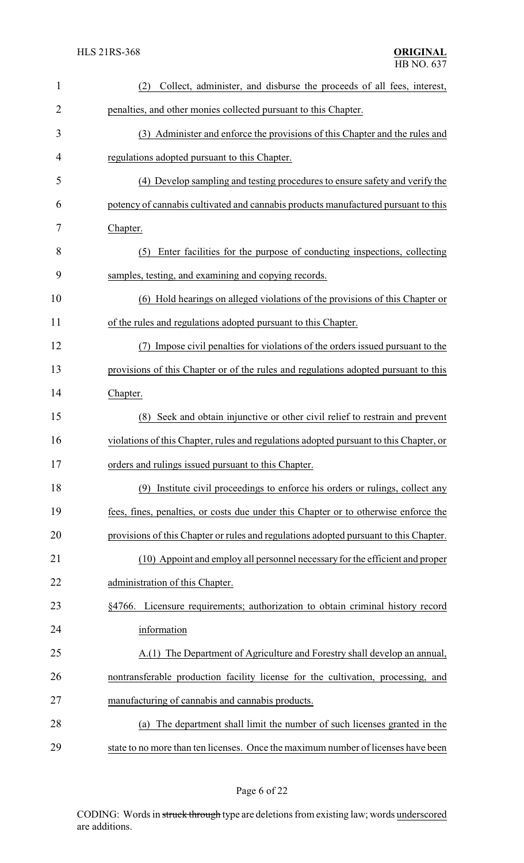| $\mathbf{1}$ | Collect, administer, and disburse the proceeds of all fees, interest,<br>(2)           |
|--------------|----------------------------------------------------------------------------------------|
| 2            | penalties, and other monies collected pursuant to this Chapter.                        |
| 3            | (3) Administer and enforce the provisions of this Chapter and the rules and            |
| 4            | regulations adopted pursuant to this Chapter.                                          |
| 5            | (4) Develop sampling and testing procedures to ensure safety and verify the            |
| 6            | potency of cannabis cultivated and cannabis products manufactured pursuant to this     |
| 7            | Chapter.                                                                               |
| 8            | (5) Enter facilities for the purpose of conducting inspections, collecting             |
| 9            | samples, testing, and examining and copying records.                                   |
| 10           | (6) Hold hearings on alleged violations of the provisions of this Chapter or           |
| 11           | of the rules and regulations adopted pursuant to this Chapter.                         |
| 12           | (7) Impose civil penalties for violations of the orders issued pursuant to the         |
| 13           | provisions of this Chapter or of the rules and regulations adopted pursuant to this    |
| 14           | Chapter.                                                                               |
| 15           | (8) Seek and obtain injunctive or other civil relief to restrain and prevent           |
| 16           | violations of this Chapter, rules and regulations adopted pursuant to this Chapter, or |
| 17           | orders and rulings issued pursuant to this Chapter.                                    |
| 18           | (9) Institute civil proceedings to enforce his orders or rulings, collect any          |
| 19           | fees, fines, penalties, or costs due under this Chapter or to otherwise enforce the    |
| 20           | provisions of this Chapter or rules and regulations adopted pursuant to this Chapter.  |
| 21           | (10) Appoint and employ all personnel necessary for the efficient and proper           |
| 22           | administration of this Chapter.                                                        |
| 23           | §4766. Licensure requirements; authorization to obtain criminal history record         |
| 24           | information                                                                            |
| 25           | A.(1) The Department of Agriculture and Forestry shall develop an annual,              |
| 26           | nontransferable production facility license for the cultivation, processing, and       |
| 27           | manufacturing of cannabis and cannabis products.                                       |
| 28           | The department shall limit the number of such licenses granted in the<br>(a)           |
| 29           | state to no more than ten licenses. Once the maximum number of licenses have been      |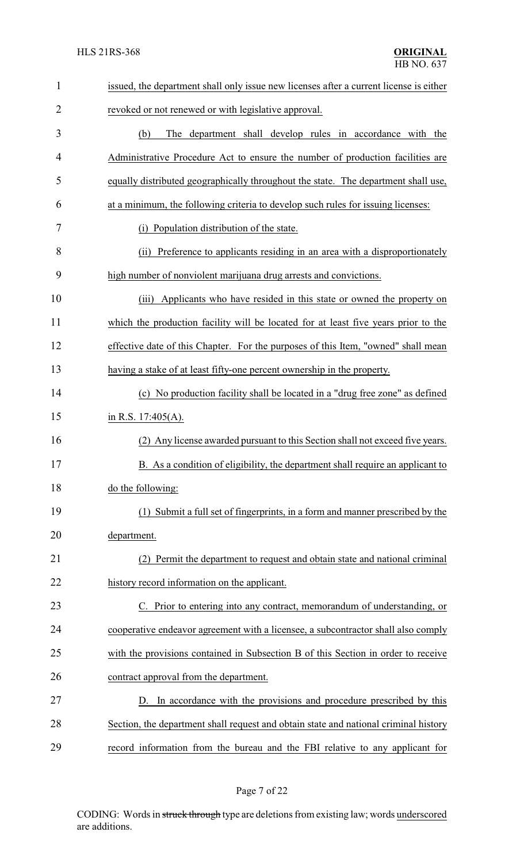| $\mathbf{1}$   | issued, the department shall only issue new licenses after a current license is either |
|----------------|----------------------------------------------------------------------------------------|
| $\overline{2}$ | revoked or not renewed or with legislative approval.                                   |
| 3              | The department shall develop rules in accordance with the<br>(b)                       |
| 4              | Administrative Procedure Act to ensure the number of production facilities are         |
| 5              | equally distributed geographically throughout the state. The department shall use,     |
| 6              | at a minimum, the following criteria to develop such rules for issuing licenses:       |
| 7              | (i) Population distribution of the state.                                              |
| 8              | (ii) Preference to applicants residing in an area with a disproportionately            |
| 9              | high number of nonviolent marijuana drug arrests and convictions.                      |
| 10             | Applicants who have resided in this state or owned the property on<br>(iii)            |
| 11             | which the production facility will be located for at least five years prior to the     |
| 12             | effective date of this Chapter. For the purposes of this Item, "owned" shall mean      |
| 13             | having a stake of at least fifty-one percent ownership in the property.                |
| 14             | (c) No production facility shall be located in a "drug free zone" as defined           |
| 15             | in R.S. $17:405(A)$ .                                                                  |
| 16             | Any license awarded pursuant to this Section shall not exceed five years.<br>(2)       |
| 17             | B. As a condition of eligibility, the department shall require an applicant to         |
| 18             | do the following:                                                                      |
| 19             | (1) Submit a full set of fingerprints, in a form and manner prescribed by the          |
| 20             | department.                                                                            |
| 21             | Permit the department to request and obtain state and national criminal                |
| 22             | history record information on the applicant.                                           |
| 23             | C. Prior to entering into any contract, memorandum of understanding, or                |
| 24             | cooperative endeavor agreement with a licensee, a subcontractor shall also comply      |
| 25             | with the provisions contained in Subsection B of this Section in order to receive      |
| 26             | contract approval from the department.                                                 |
| 27             | D. In accordance with the provisions and procedure prescribed by this                  |
| 28             | Section, the department shall request and obtain state and national criminal history   |
| 29             | record information from the bureau and the FBI relative to any applicant for           |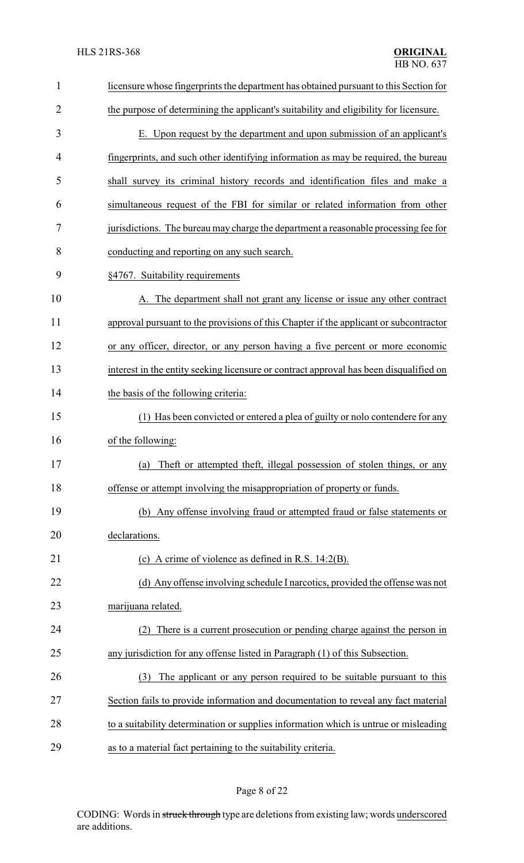| $\mathbf{1}$   | licensure whose fingerprints the department has obtained pursuant to this Section for  |
|----------------|----------------------------------------------------------------------------------------|
| $\overline{2}$ | the purpose of determining the applicant's suitability and eligibility for licensure.  |
| 3              | E. Upon request by the department and upon submission of an applicant's                |
| 4              | fingerprints, and such other identifying information as may be required, the bureau    |
| 5              | shall survey its criminal history records and identification files and make a          |
| 6              | simultaneous request of the FBI for similar or related information from other          |
| 7              | jurisdictions. The bureau may charge the department a reasonable processing fee for    |
| 8              | conducting and reporting on any such search.                                           |
| 9              | §4767. Suitability requirements                                                        |
| 10             | A. The department shall not grant any license or issue any other contract              |
| 11             | approval pursuant to the provisions of this Chapter if the applicant or subcontractor  |
| 12             | or any officer, director, or any person having a five percent or more economic         |
| 13             | interest in the entity seeking licensure or contract approval has been disqualified on |
| 14             | the basis of the following criteria:                                                   |
| 15             | (1) Has been convicted or entered a plea of guilty or nolo contendere for any          |
| 16             | of the following:                                                                      |
| 17             | (a) Theft or attempted theft, illegal possession of stolen things, or any              |
| 18             | offense or attempt involving the misappropriation of property or funds.                |
| 19             | (b) Any offense involving fraud or attempted fraud or false statements or              |
| 20             | declarations.                                                                          |
| 21             | (c) A crime of violence as defined in R.S. $14:2(B)$ .                                 |
| 22             | (d) Any offense involving schedule I narcotics, provided the offense was not           |
| 23             | marijuana related.                                                                     |
| 24             | There is a current prosecution or pending charge against the person in                 |
| 25             | any jurisdiction for any offense listed in Paragraph (1) of this Subsection.           |
| 26             | The applicant or any person required to be suitable pursuant to this<br>(3)            |
| 27             | Section fails to provide information and documentation to reveal any fact material     |
| 28             | to a suitability determination or supplies information which is untrue or misleading   |
| 29             | as to a material fact pertaining to the suitability criteria.                          |

## Page 8 of 22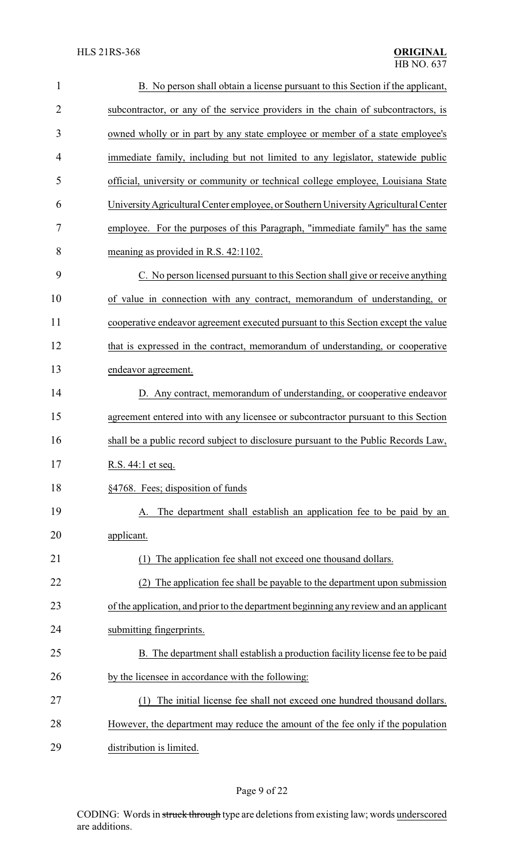| $\mathbf{1}$   | B. No person shall obtain a license pursuant to this Section if the applicant,        |
|----------------|---------------------------------------------------------------------------------------|
| $\overline{2}$ | subcontractor, or any of the service providers in the chain of subcontractors, is     |
| 3              | owned wholly or in part by any state employee or member of a state employee's         |
| 4              | immediate family, including but not limited to any legislator, statewide public       |
| 5              | official, university or community or technical college employee, Louisiana State      |
| 6              | University Agricultural Center employee, or Southern University Agricultural Center   |
| 7              | employee. For the purposes of this Paragraph, "immediate family" has the same         |
| 8              | meaning as provided in R.S. 42:1102.                                                  |
| 9              | C. No person licensed pursuant to this Section shall give or receive anything         |
| 10             | of value in connection with any contract, memorandum of understanding, or             |
| 11             | cooperative endeavor agreement executed pursuant to this Section except the value     |
| 12             | that is expressed in the contract, memorandum of understanding, or cooperative        |
| 13             | endeavor agreement.                                                                   |
| 14             | D. Any contract, memorandum of understanding, or cooperative endeavor                 |
| 15             | agreement entered into with any licensee or subcontractor pursuant to this Section    |
| 16             | shall be a public record subject to disclosure pursuant to the Public Records Law,    |
| 17             | R.S. 44:1 et seq.                                                                     |
| 18             | §4768. Fees; disposition of funds                                                     |
| 19             | The department shall establish an application fee to be paid by an                    |
| 20             | applicant.                                                                            |
| 21             | The application fee shall not exceed one thousand dollars.<br>(1)                     |
| 22             | The application fee shall be payable to the department upon submission<br>(2)         |
| 23             | of the application, and prior to the department beginning any review and an applicant |
| 24             | submitting fingerprints.                                                              |
| 25             | B. The department shall establish a production facility license fee to be paid        |
| 26             | by the licensee in accordance with the following:                                     |
| 27             | The initial license fee shall not exceed one hundred thousand dollars.<br>(1)         |
| 28             | However, the department may reduce the amount of the fee only if the population       |
| 29             | distribution is limited.                                                              |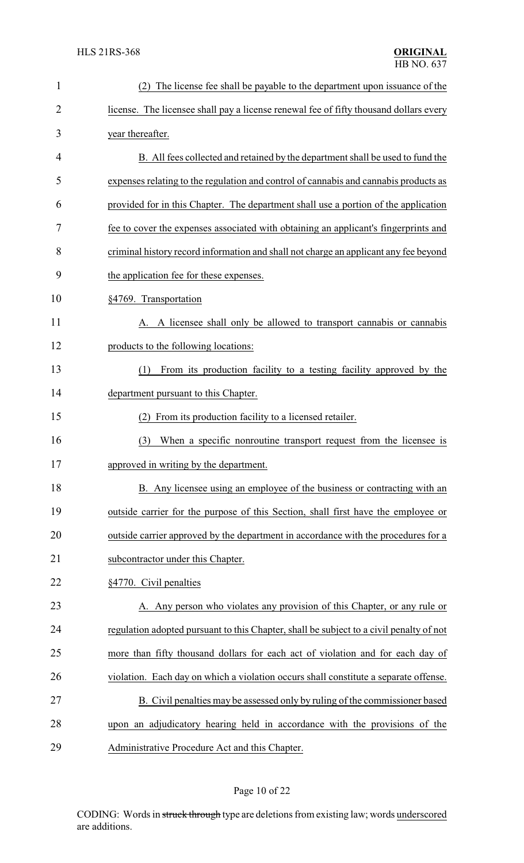| $\mathbf{1}$ | The license fee shall be payable to the department upon issuance of the                 |
|--------------|-----------------------------------------------------------------------------------------|
| 2            | license. The licensee shall pay a license renewal fee of fifty thousand dollars every   |
| 3            | year thereafter.                                                                        |
| 4            | B. All fees collected and retained by the department shall be used to fund the          |
| 5            | expenses relating to the regulation and control of cannabis and cannabis products as    |
| 6            | provided for in this Chapter. The department shall use a portion of the application     |
| 7            | fee to cover the expenses associated with obtaining an applicant's fingerprints and     |
| 8            | criminal history record information and shall not charge an applicant any fee beyond    |
| 9            | the application fee for these expenses.                                                 |
| 10           | §4769. Transportation                                                                   |
| 11           | A. A licensee shall only be allowed to transport cannabis or cannabis                   |
| 12           | products to the following locations:                                                    |
| 13           | From its production facility to a testing facility approved by the<br>(1)               |
| 14           | department pursuant to this Chapter.                                                    |
| 15           | From its production facility to a licensed retailer.<br>(2)                             |
| 16           | When a specific nonroutine transport request from the licensee is<br>(3)                |
| 17           | approved in writing by the department.                                                  |
| 18           | B. Any licensee using an employee of the business or contracting with an                |
| 19           | outside carrier for the purpose of this Section, shall first have the employee or       |
| 20           | outside carrier approved by the department in accordance with the procedures for a      |
| 21           | subcontractor under this Chapter.                                                       |
| 22           | §4770. Civil penalties                                                                  |
| 23           | A. Any person who violates any provision of this Chapter, or any rule or                |
| 24           | regulation adopted pursuant to this Chapter, shall be subject to a civil penalty of not |
| 25           | more than fifty thousand dollars for each act of violation and for each day of          |
| 26           | violation. Each day on which a violation occurs shall constitute a separate offense.    |
| 27           | B. Civil penalties may be assessed only by ruling of the commissioner based             |
| 28           | upon an adjudicatory hearing held in accordance with the provisions of the              |
| 29           | Administrative Procedure Act and this Chapter.                                          |

# Page 10 of 22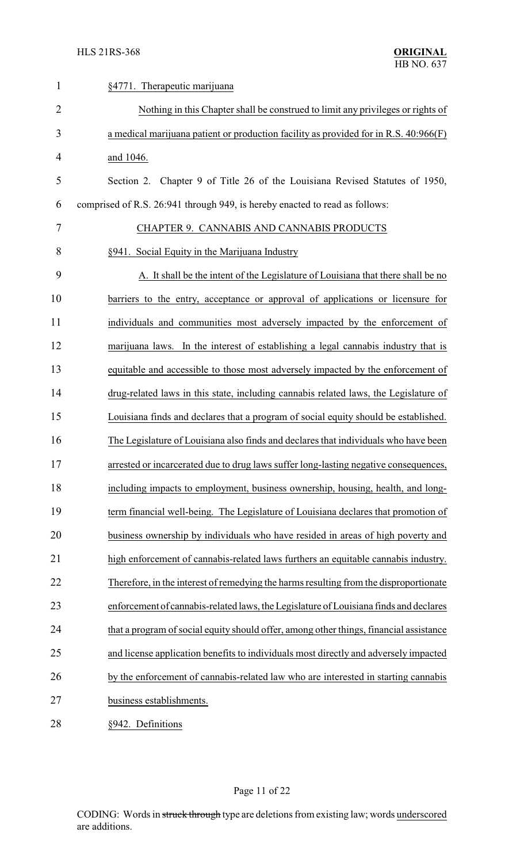| $\mathbf{1}$   | §4771. Therapeutic marijuana                                                           |
|----------------|----------------------------------------------------------------------------------------|
| $\overline{2}$ | Nothing in this Chapter shall be construed to limit any privileges or rights of        |
| 3              | a medical marijuana patient or production facility as provided for in R.S. 40:966(F)   |
| 4              | and 1046.                                                                              |
| 5              | Section 2. Chapter 9 of Title 26 of the Louisiana Revised Statutes of 1950,            |
| 6              | comprised of R.S. 26:941 through 949, is hereby enacted to read as follows:            |
| 7              | CHAPTER 9. CANNABIS AND CANNABIS PRODUCTS                                              |
| 8              | §941. Social Equity in the Marijuana Industry                                          |
| 9              | A. It shall be the intent of the Legislature of Louisiana that there shall be no       |
| 10             | barriers to the entry, acceptance or approval of applications or licensure for         |
| 11             | individuals and communities most adversely impacted by the enforcement of              |
| 12             | marijuana laws. In the interest of establishing a legal cannabis industry that is      |
| 13             | equitable and accessible to those most adversely impacted by the enforcement of        |
| 14             | drug-related laws in this state, including cannabis related laws, the Legislature of   |
| 15             | Louisiana finds and declares that a program of social equity should be established.    |
| 16             | The Legislature of Louisiana also finds and declares that individuals who have been    |
| 17             | arrested or incarcerated due to drug laws suffer long-lasting negative consequences,   |
| 18             | including impacts to employment, business ownership, housing, health, and long-        |
| 19             | term financial well-being. The Legislature of Louisiana declares that promotion of     |
| 20             | business ownership by individuals who have resided in areas of high poverty and        |
| 21             | high enforcement of cannabis-related laws furthers an equitable cannabis industry.     |
| 22             | Therefore, in the interest of remedying the harms resulting from the disproportionate  |
| 23             | enforcement of cannabis-related laws, the Legislature of Louisiana finds and declares  |
| 24             | that a program of social equity should offer, among other things, financial assistance |
| 25             | and license application benefits to individuals most directly and adversely impacted   |
| 26             | by the enforcement of cannabis-related law who are interested in starting cannabis     |
| 27             | business establishments.                                                               |
| 28             | §942. Definitions                                                                      |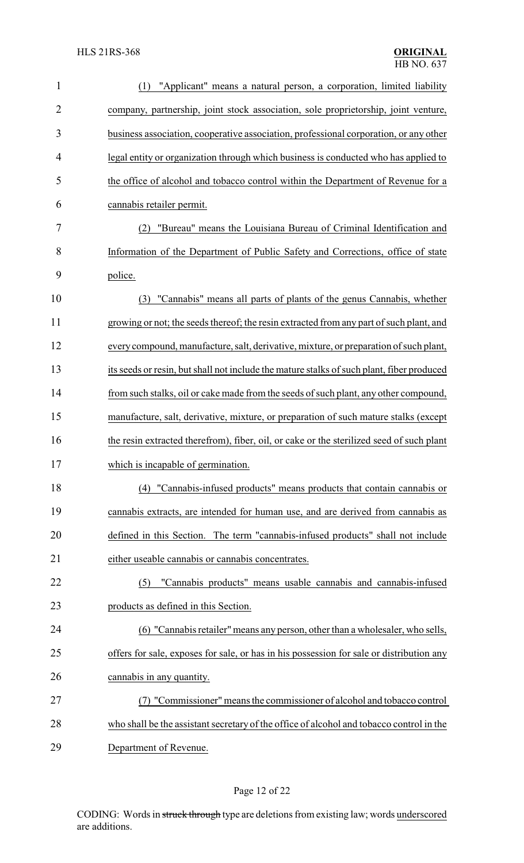| $\mathbf{1}$   | "Applicant" means a natural person, a corporation, limited liability<br>(1)               |
|----------------|-------------------------------------------------------------------------------------------|
| $\overline{2}$ | company, partnership, joint stock association, sole proprietorship, joint venture,        |
| 3              | business association, cooperative association, professional corporation, or any other     |
| 4              | legal entity or organization through which business is conducted who has applied to       |
| 5              | the office of alcohol and tobacco control within the Department of Revenue for a          |
| 6              | cannabis retailer permit.                                                                 |
| 7              | "Bureau" means the Louisiana Bureau of Criminal Identification and                        |
| 8              | Information of the Department of Public Safety and Corrections, office of state           |
| 9              | police.                                                                                   |
| 10             | "Cannabis" means all parts of plants of the genus Cannabis, whether<br>(3)                |
| 11             | growing or not; the seeds thereof; the resin extracted from any part of such plant, and   |
| 12             | every compound, manufacture, salt, derivative, mixture, or preparation of such plant,     |
| 13             | its seeds or resin, but shall not include the mature stalks of such plant, fiber produced |
| 14             | from such stalks, oil or cake made from the seeds of such plant, any other compound,      |
| 15             | manufacture, salt, derivative, mixture, or preparation of such mature stalks (except      |
| 16             | the resin extracted therefrom), fiber, oil, or cake or the sterilized seed of such plant  |
| 17             | which is incapable of germination.                                                        |
| 18             | (4) "Cannabis-infused products" means products that contain cannabis or                   |
| 19             | cannabis extracts, are intended for human use, and are derived from cannabis as           |
| 20             | defined in this Section. The term "cannabis-infused products" shall not include           |
| 21             | either useable cannabis or cannabis concentrates.                                         |
| 22             | "Cannabis products" means usable cannabis and cannabis-infused<br>(5)                     |
| 23             | products as defined in this Section.                                                      |
| 24             | (6) "Cannabis retailer" means any person, other than a wholesaler, who sells,             |
| 25             | offers for sale, exposes for sale, or has in his possession for sale or distribution any  |
| 26             | cannabis in any quantity.                                                                 |
| 27             | "Commissioner" means the commissioner of alcohol and tobacco control                      |
| 28             | who shall be the assistant secretary of the office of alcohol and tobacco control in the  |
| 29             | Department of Revenue.                                                                    |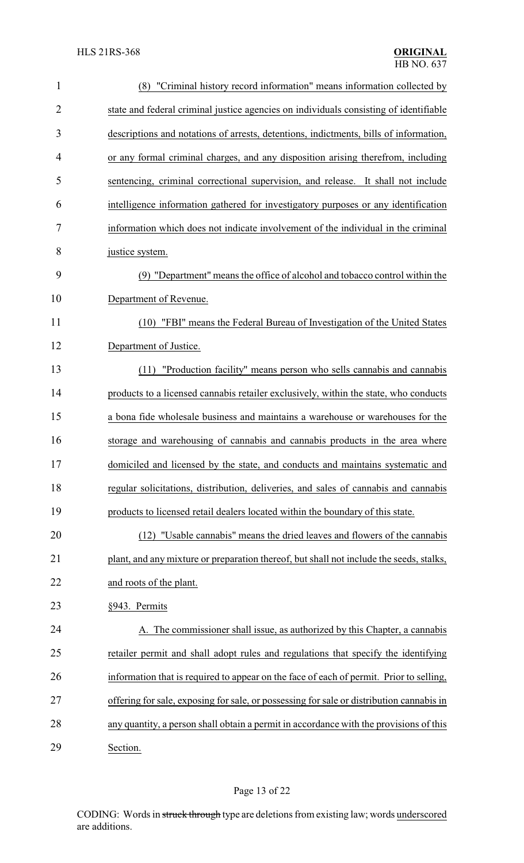| $\mathbf{1}$   | (8) "Criminal history record information" means information collected by                 |  |
|----------------|------------------------------------------------------------------------------------------|--|
| $\overline{2}$ | state and federal criminal justice agencies on individuals consisting of identifiable    |  |
| 3              | descriptions and notations of arrests, detentions, indictments, bills of information,    |  |
| 4              | or any formal criminal charges, and any disposition arising therefrom, including         |  |
| 5              | sentencing, criminal correctional supervision, and release. It shall not include         |  |
| 6              | intelligence information gathered for investigatory purposes or any identification       |  |
| 7              | information which does not indicate involvement of the individual in the criminal        |  |
| 8              | justice system.                                                                          |  |
| 9              | (9) "Department" means the office of alcohol and tobacco control within the              |  |
| 10             | Department of Revenue.                                                                   |  |
| 11             | (10) "FBI" means the Federal Bureau of Investigation of the United States                |  |
| 12             | Department of Justice.                                                                   |  |
| 13             | "Production facility" means person who sells cannabis and cannabis<br>(11)               |  |
| 14             | products to a licensed cannabis retailer exclusively, within the state, who conducts     |  |
| 15             | a bona fide wholesale business and maintains a warehouse or warehouses for the           |  |
| 16             | storage and warehousing of cannabis and cannabis products in the area where              |  |
| 17             | domiciled and licensed by the state, and conducts and maintains systematic and           |  |
| 18             | regular solicitations, distribution, deliveries, and sales of cannabis and cannabis      |  |
| 19             | products to licensed retail dealers located within the boundary of this state.           |  |
| 20             | (12) "Usable cannabis" means the dried leaves and flowers of the cannabis                |  |
| 21             | plant, and any mixture or preparation thereof, but shall not include the seeds, stalks,  |  |
| 22             | and roots of the plant.                                                                  |  |
| 23             | §943. Permits                                                                            |  |
| 24             | A. The commissioner shall issue, as authorized by this Chapter, a cannabis               |  |
| 25             | retailer permit and shall adopt rules and regulations that specify the identifying       |  |
| 26             | information that is required to appear on the face of each of permit. Prior to selling,  |  |
| 27             | offering for sale, exposing for sale, or possessing for sale or distribution cannabis in |  |
| 28             | any quantity, a person shall obtain a permit in accordance with the provisions of this   |  |
| 29             | Section.                                                                                 |  |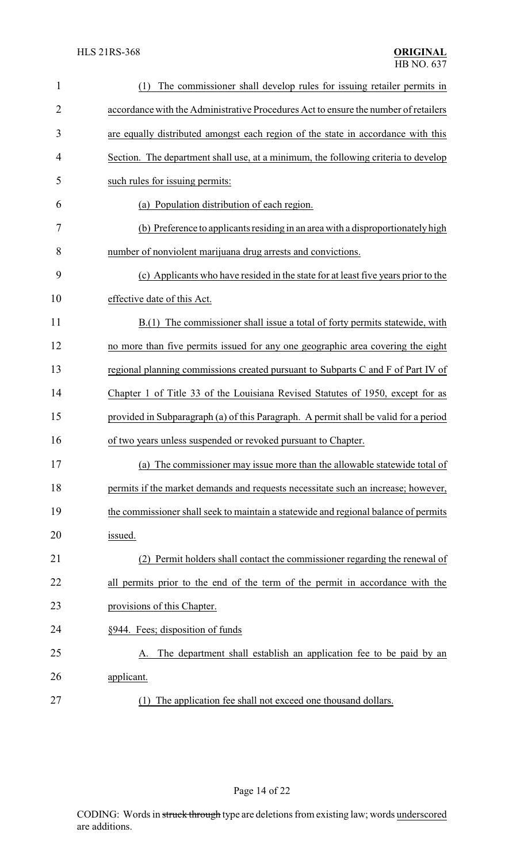| $\mathbf{1}$ | The commissioner shall develop rules for issuing retailer permits in<br>(1)          |  |
|--------------|--------------------------------------------------------------------------------------|--|
| 2            | accordance with the Administrative Procedures Act to ensure the number of retailers  |  |
| 3            | are equally distributed amongst each region of the state in accordance with this     |  |
| 4            | Section. The department shall use, at a minimum, the following criteria to develop   |  |
| 5            | such rules for issuing permits:                                                      |  |
| 6            | (a) Population distribution of each region.                                          |  |
| 7            | (b) Preference to applicants residing in an area with a disproportionately high      |  |
| 8            | number of nonviolent marijuana drug arrests and convictions.                         |  |
| 9            | (c) Applicants who have resided in the state for at least five years prior to the    |  |
| 10           | effective date of this Act.                                                          |  |
| 11           | B.(1) The commissioner shall issue a total of forty permits statewide, with          |  |
| 12           | no more than five permits issued for any one geographic area covering the eight      |  |
| 13           | regional planning commissions created pursuant to Subparts C and F of Part IV of     |  |
| 14           | Chapter 1 of Title 33 of the Louisiana Revised Statutes of 1950, except for as       |  |
| 15           | provided in Subparagraph (a) of this Paragraph. A permit shall be valid for a period |  |
| 16           | of two years unless suspended or revoked pursuant to Chapter.                        |  |
| 17           | (a) The commissioner may issue more than the allowable statewide total of            |  |
| 18           | permits if the market demands and requests necessitate such an increase; however,    |  |
| 19           | the commissioner shall seek to maintain a statewide and regional balance of permits  |  |
| 20           | issued.                                                                              |  |
| 21           | (2) Permit holders shall contact the commissioner regarding the renewal of           |  |
| 22           | all permits prior to the end of the term of the permit in accordance with the        |  |
| 23           | provisions of this Chapter.                                                          |  |
| 24           | §944. Fees; disposition of funds                                                     |  |
| 25           | The department shall establish an application fee to be paid by an<br>A.             |  |
| 26           | applicant.                                                                           |  |
| 27           | The application fee shall not exceed one thousand dollars.<br>(1)                    |  |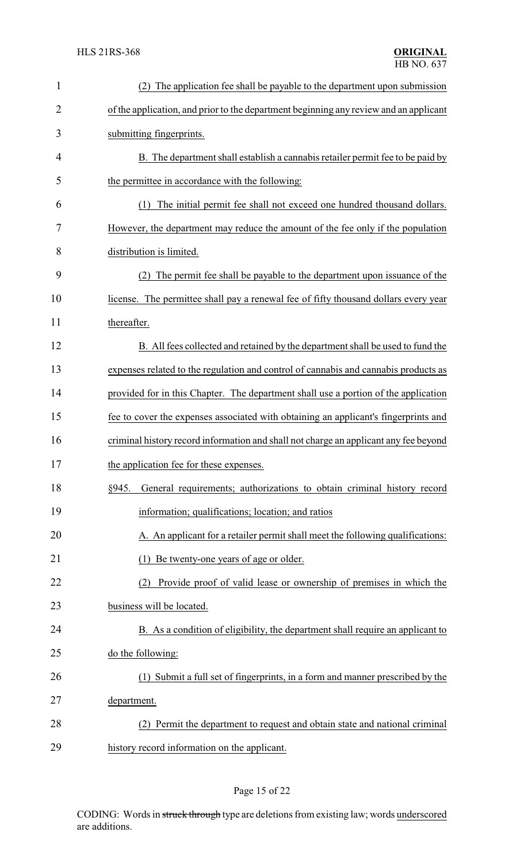| $\mathbf{1}$   | (2) The application fee shall be payable to the department upon submission            |  |
|----------------|---------------------------------------------------------------------------------------|--|
| $\overline{2}$ | of the application, and prior to the department beginning any review and an applicant |  |
| 3              | submitting fingerprints.                                                              |  |
| 4              | B. The department shall establish a cannabis retailer permit fee to be paid by        |  |
| 5              | the permittee in accordance with the following:                                       |  |
| 6              | The initial permit fee shall not exceed one hundred thousand dollars.<br>(1)          |  |
| 7              | However, the department may reduce the amount of the fee only if the population       |  |
| 8              | distribution is limited.                                                              |  |
| 9              | The permit fee shall be payable to the department upon issuance of the                |  |
| 10             | license. The permittee shall pay a renewal fee of fifty thousand dollars every year   |  |
| 11             | thereafter.                                                                           |  |
| 12             | B. All fees collected and retained by the department shall be used to fund the        |  |
| 13             | expenses related to the regulation and control of cannabis and cannabis products as   |  |
| 14             | provided for in this Chapter. The department shall use a portion of the application   |  |
| 15             | fee to cover the expenses associated with obtaining an applicant's fingerprints and   |  |
| 16             | criminal history record information and shall not charge an applicant any fee beyond  |  |
| 17             | the application fee for these expenses.                                               |  |
| 18             | General requirements; authorizations to obtain criminal history record<br>§945.       |  |
| 19             | information; qualifications; location; and ratios                                     |  |
| 20             | A. An applicant for a retailer permit shall meet the following qualifications:        |  |
| 21             | Be twenty-one years of age or older.<br>(1)                                           |  |
| 22             | Provide proof of valid lease or ownership of premises in which the<br>(2)             |  |
| 23             | business will be located.                                                             |  |
| 24             | B. As a condition of eligibility, the department shall require an applicant to        |  |
| 25             | do the following:                                                                     |  |
| 26             | (1) Submit a full set of fingerprints, in a form and manner prescribed by the         |  |
| 27             | department.                                                                           |  |
| 28             | (2) Permit the department to request and obtain state and national criminal           |  |
| 29             | history record information on the applicant.                                          |  |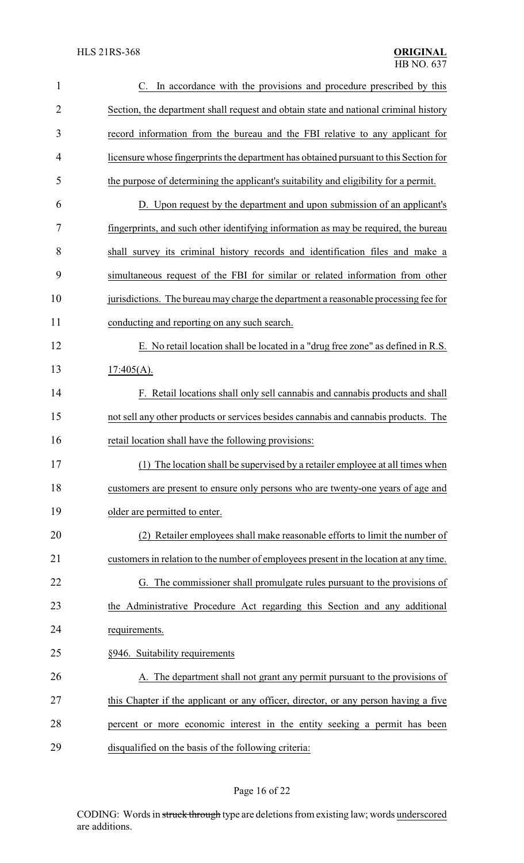| 1              | C. In accordance with the provisions and procedure prescribed by this                 |  |
|----------------|---------------------------------------------------------------------------------------|--|
| $\overline{2}$ | Section, the department shall request and obtain state and national criminal history  |  |
| 3              | record information from the bureau and the FBI relative to any applicant for          |  |
| 4              | licensure whose fingerprints the department has obtained pursuant to this Section for |  |
| 5              | the purpose of determining the applicant's suitability and eligibility for a permit.  |  |
| 6              | D. Upon request by the department and upon submission of an applicant's               |  |
| 7              | fingerprints, and such other identifying information as may be required, the bureau   |  |
| 8              | shall survey its criminal history records and identification files and make a         |  |
| 9              | simultaneous request of the FBI for similar or related information from other         |  |
| 10             | jurisdictions. The bureau may charge the department a reasonable processing fee for   |  |
| 11             | conducting and reporting on any such search.                                          |  |
| 12             | E. No retail location shall be located in a "drug free zone" as defined in R.S.       |  |
| 13             | $17:405(A)$ .                                                                         |  |
| 14             | F. Retail locations shall only sell cannabis and cannabis products and shall          |  |
| 15             | not sell any other products or services besides cannabis and cannabis products. The   |  |
| 16             | retail location shall have the following provisions:                                  |  |
| 17             | (1) The location shall be supervised by a retailer employee at all times when         |  |
| 18             | customers are present to ensure only persons who are twenty-one years of age and      |  |
| 19             | older are permitted to enter.                                                         |  |
| 20             | Retailer employees shall make reasonable efforts to limit the number of               |  |
| 21             | customers in relation to the number of employees present in the location at any time. |  |
| 22             | G. The commissioner shall promulgate rules pursuant to the provisions of              |  |
| 23             | the Administrative Procedure Act regarding this Section and any additional            |  |
| 24             | requirements.                                                                         |  |
| 25             | §946. Suitability requirements                                                        |  |
| 26             | A. The department shall not grant any permit pursuant to the provisions of            |  |
| 27             | this Chapter if the applicant or any officer, director, or any person having a five   |  |
| 28             | percent or more economic interest in the entity seeking a permit has been             |  |
| 29             | disqualified on the basis of the following criteria:                                  |  |

## Page 16 of 22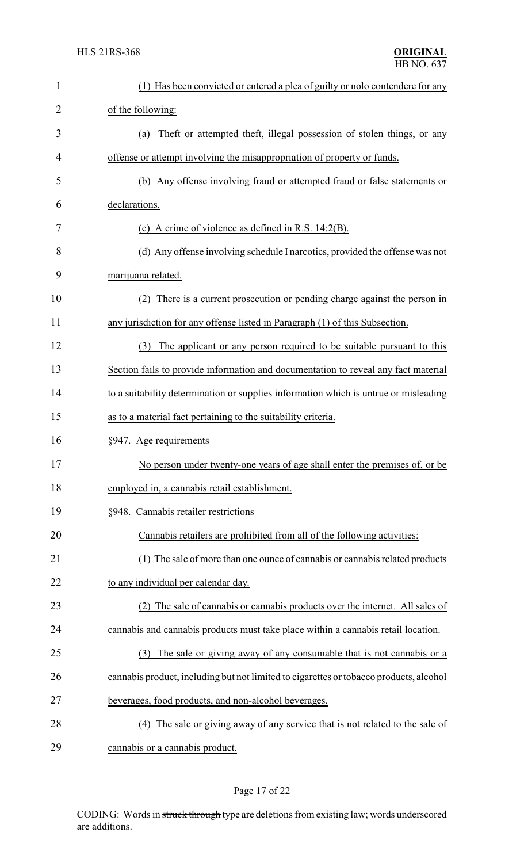| $\mathbf{1}$ | (1) Has been convicted or entered a plea of guilty or nolo contendere for any          |  |
|--------------|----------------------------------------------------------------------------------------|--|
| 2            | of the following:                                                                      |  |
| 3            | Theft or attempted theft, illegal possession of stolen things, or any<br>(a)           |  |
| 4            | offense or attempt involving the misappropriation of property or funds.                |  |
| 5            | (b) Any offense involving fraud or attempted fraud or false statements or              |  |
| 6            | declarations.                                                                          |  |
| 7            | (c) A crime of violence as defined in R.S. $14:2(B)$ .                                 |  |
| 8            | (d) Any offense involving schedule I narcotics, provided the offense was not           |  |
| 9            | marijuana related.                                                                     |  |
| 10           | There is a current prosecution or pending charge against the person in<br>(2)          |  |
| 11           | any jurisdiction for any offense listed in Paragraph (1) of this Subsection.           |  |
| 12           | The applicant or any person required to be suitable pursuant to this<br>(3)            |  |
| 13           | Section fails to provide information and documentation to reveal any fact material     |  |
| 14           | to a suitability determination or supplies information which is untrue or misleading   |  |
| 15           | as to a material fact pertaining to the suitability criteria.                          |  |
| 16           | §947. Age requirements                                                                 |  |
| 17           | No person under twenty-one years of age shall enter the premises of, or be             |  |
| 18           | employed in, a cannabis retail establishment.                                          |  |
| 19           | §948. Cannabis retailer restrictions                                                   |  |
| 20           | Cannabis retailers are prohibited from all of the following activities:                |  |
| 21           | (1) The sale of more than one ounce of cannabis or cannabis related products           |  |
| 22           | to any individual per calendar day.                                                    |  |
| 23           | (2) The sale of cannabis or cannabis products over the internet. All sales of          |  |
| 24           | cannabis and cannabis products must take place within a cannabis retail location.      |  |
| 25           | The sale or giving away of any consumable that is not cannabis or a<br>(3)             |  |
| 26           | cannabis product, including but not limited to cigarettes or tobacco products, alcohol |  |
| 27           | beverages, food products, and non-alcohol beverages.                                   |  |
| 28           | The sale or giving away of any service that is not related to the sale of<br>(4)       |  |
| 29           | cannabis or a cannabis product.                                                        |  |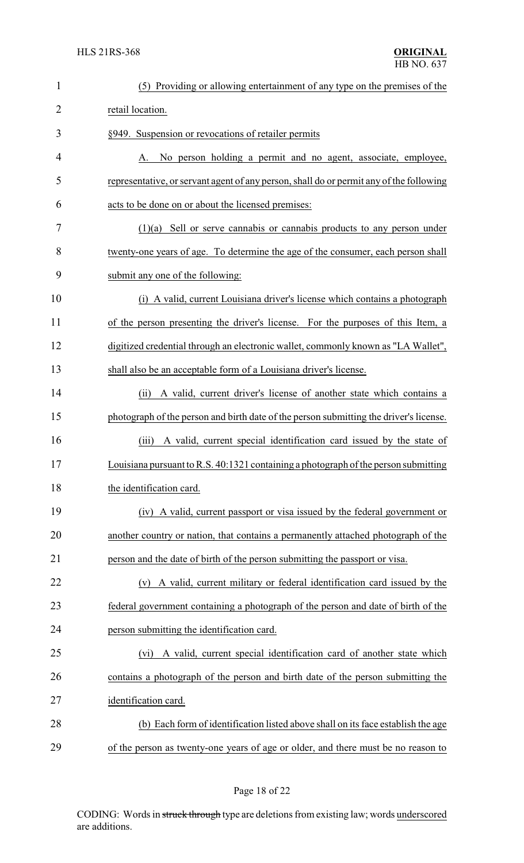| $\mathbf{1}$   | (5) Providing or allowing entertainment of any type on the premises of the              |  |
|----------------|-----------------------------------------------------------------------------------------|--|
| $\overline{2}$ | retail location.                                                                        |  |
| 3              | §949. Suspension or revocations of retailer permits                                     |  |
| 4              | No person holding a permit and no agent, associate, employee,<br>A.                     |  |
| 5              | representative, or servant agent of any person, shall do or permit any of the following |  |
| 6              | acts to be done on or about the licensed premises:                                      |  |
| 7              | $(1)(a)$ Sell or serve cannabis or cannabis products to any person under                |  |
| 8              | twenty-one years of age. To determine the age of the consumer, each person shall        |  |
| 9              | submit any one of the following:                                                        |  |
| 10             | (i) A valid, current Louisiana driver's license which contains a photograph             |  |
| 11             | of the person presenting the driver's license. For the purposes of this Item, a         |  |
| 12             | digitized credential through an electronic wallet, commonly known as "LA Wallet",       |  |
| 13             | shall also be an acceptable form of a Louisiana driver's license.                       |  |
| 14             | A valid, current driver's license of another state which contains a<br>(ii)             |  |
| 15             | photograph of the person and birth date of the person submitting the driver's license.  |  |
| 16             | A valid, current special identification card issued by the state of<br>(iii)            |  |
| 17             | Louisiana pursuant to R.S. 40:1321 containing a photograph of the person submitting     |  |
| 18             | the identification card.                                                                |  |
| 19             | (iv) A valid, current passport or visa issued by the federal government or              |  |
| 20             | another country or nation, that contains a permanently attached photograph of the       |  |
| 21             | person and the date of birth of the person submitting the passport or visa.             |  |
| 22             | (v) A valid, current military or federal identification card issued by the              |  |
| 23             | federal government containing a photograph of the person and date of birth of the       |  |
| 24             | person submitting the identification card.                                              |  |
| 25             | A valid, current special identification card of another state which<br>(vi)             |  |
| 26             | contains a photograph of the person and birth date of the person submitting the         |  |
| 27             | identification card.                                                                    |  |
| 28             | (b) Each form of identification listed above shall on its face establish the age        |  |
| 29             | of the person as twenty-one years of age or older, and there must be no reason to       |  |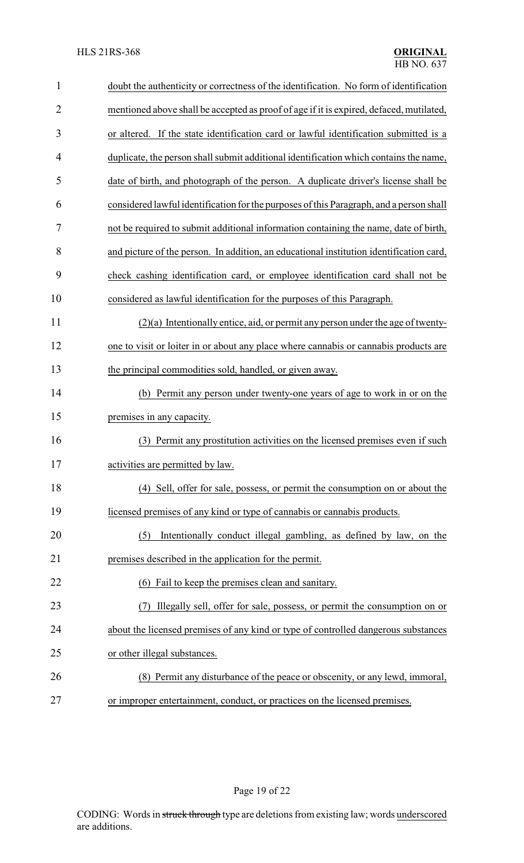| 1              | doubt the authenticity or correctness of the identification. No form of identification  |  |
|----------------|-----------------------------------------------------------------------------------------|--|
| $\overline{2}$ | mentioned above shall be accepted as proof of age if it is expired, defaced, mutilated, |  |
| 3              | or altered. If the state identification card or lawful identification submitted is a    |  |
| $\overline{4}$ | duplicate, the person shall submit additional identification which contains the name,   |  |
| 5              | date of birth, and photograph of the person. A duplicate driver's license shall be      |  |
| 6              | considered lawful identification for the purposes of this Paragraph, and a person shall |  |
| 7              | not be required to submit additional information containing the name, date of birth,    |  |
| 8              | and picture of the person. In addition, an educational institution identification card, |  |
| 9              | check cashing identification card, or employee identification card shall not be         |  |
| 10             | considered as lawful identification for the purposes of this Paragraph.                 |  |
| 11             | $(2)(a)$ Intentionally entice, aid, or permit any person under the age of twenty-       |  |
| 12             | one to visit or loiter in or about any place where cannabis or cannabis products are    |  |
| 13             | the principal commodities sold, handled, or given away.                                 |  |
| 14             | Permit any person under twenty-one years of age to work in or on the<br>(b)             |  |
| 15             | premises in any capacity.                                                               |  |
| 16             | Permit any prostitution activities on the licensed premises even if such<br>(3)         |  |
| 17             | activities are permitted by law.                                                        |  |
| 18             | (4) Sell, offer for sale, possess, or permit the consumption on or about the            |  |
| 19             | licensed premises of any kind or type of cannabis or cannabis products.                 |  |
| 20             | Intentionally conduct illegal gambling, as defined by law, on the<br>(5)                |  |
| 21             | premises described in the application for the permit.                                   |  |
| 22             | (6) Fail to keep the premises clean and sanitary.                                       |  |
| 23             | Illegally sell, offer for sale, possess, or permit the consumption on or                |  |
| 24             | about the licensed premises of any kind or type of controlled dangerous substances      |  |
| 25             | or other illegal substances.                                                            |  |
| 26             | (8) Permit any disturbance of the peace or obscenity, or any lewd, immoral,             |  |
| 27             | or improper entertainment, conduct, or practices on the licensed premises.              |  |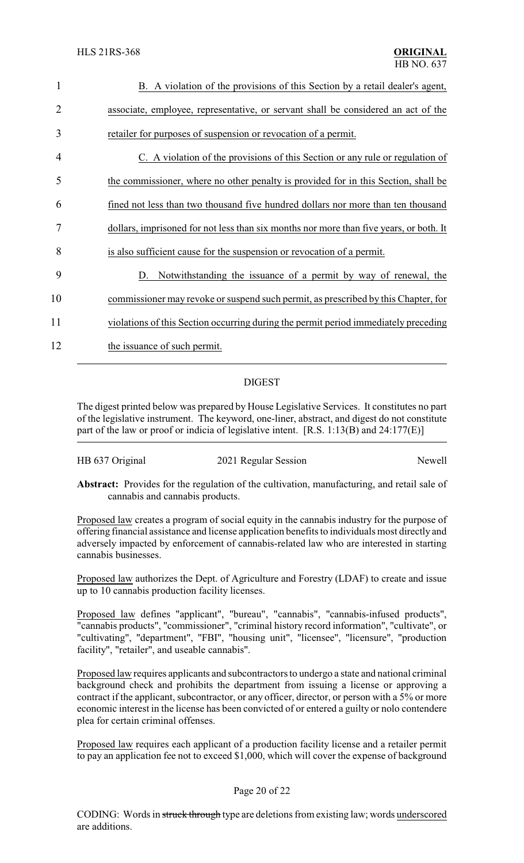| $\mathbf{1}$ | B. A violation of the provisions of this Section by a retail dealer's agent,           |
|--------------|----------------------------------------------------------------------------------------|
| 2            | associate, employee, representative, or servant shall be considered an act of the      |
| 3            | retailer for purposes of suspension or revocation of a permit.                         |
| 4            | C. A violation of the provisions of this Section or any rule or regulation of          |
| 5            | the commissioner, where no other penalty is provided for in this Section, shall be     |
| 6            | fined not less than two thousand five hundred dollars nor more than ten thousand       |
| 7            | dollars, imprisoned for not less than six months nor more than five years, or both. It |
| 8            | is also sufficient cause for the suspension or revocation of a permit.                 |
| 9            | D. Notwithstanding the issuance of a permit by way of renewal, the                     |
| 10           | commissioner may revoke or suspend such permit, as prescribed by this Chapter, for     |
| 11           | violations of this Section occurring during the permit period immediately preceding    |
| 12           | the issuance of such permit.                                                           |

### DIGEST

The digest printed below was prepared by House Legislative Services. It constitutes no part of the legislative instrument. The keyword, one-liner, abstract, and digest do not constitute part of the law or proof or indicia of legislative intent. [R.S. 1:13(B) and 24:177(E)]

| HB 637 Original | 2021 Regular Session | Newell |
|-----------------|----------------------|--------|
|-----------------|----------------------|--------|

**Abstract:** Provides for the regulation of the cultivation, manufacturing, and retail sale of cannabis and cannabis products.

Proposed law creates a program of social equity in the cannabis industry for the purpose of offering financial assistance and license application benefits to individuals most directly and adversely impacted by enforcement of cannabis-related law who are interested in starting cannabis businesses.

Proposed law authorizes the Dept. of Agriculture and Forestry (LDAF) to create and issue up to 10 cannabis production facility licenses.

Proposed law defines "applicant", "bureau", "cannabis", "cannabis-infused products", "cannabis products", "commissioner", "criminal history record information", "cultivate", or "cultivating", "department", "FBI", "housing unit", "licensee", "licensure", "production facility", "retailer", and useable cannabis".

Proposed law requires applicants and subcontractors to undergo a state and national criminal background check and prohibits the department from issuing a license or approving a contract if the applicant, subcontractor, or any officer, director, or person with a 5% or more economic interest in the license has been convicted of or entered a guilty or nolo contendere plea for certain criminal offenses.

Proposed law requires each applicant of a production facility license and a retailer permit to pay an application fee not to exceed \$1,000, which will cover the expense of background

#### Page 20 of 22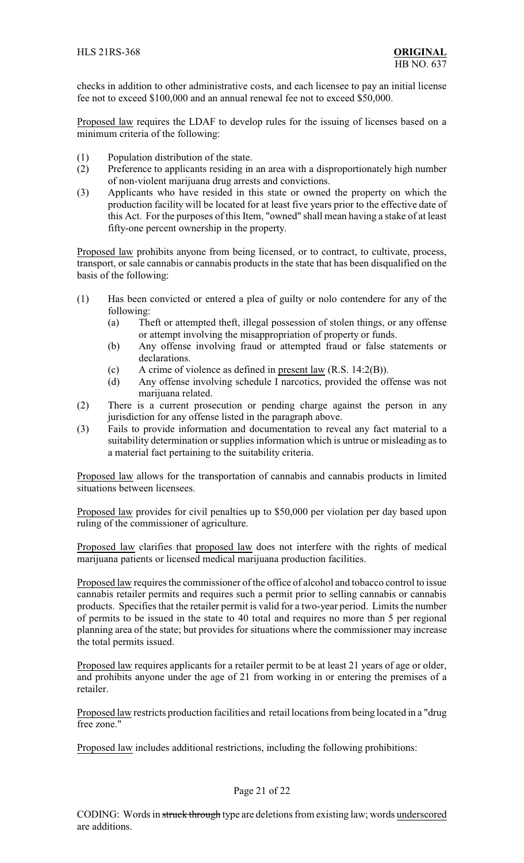checks in addition to other administrative costs, and each licensee to pay an initial license fee not to exceed \$100,000 and an annual renewal fee not to exceed \$50,000.

Proposed law requires the LDAF to develop rules for the issuing of licenses based on a minimum criteria of the following:

- (1) Population distribution of the state.
- (2) Preference to applicants residing in an area with a disproportionately high number of non-violent marijuana drug arrests and convictions.
- (3) Applicants who have resided in this state or owned the property on which the production facility will be located for at least five years prior to the effective date of this Act. For the purposes of this Item, "owned" shall mean having a stake of at least fifty-one percent ownership in the property.

Proposed law prohibits anyone from being licensed, or to contract, to cultivate, process, transport, or sale cannabis or cannabis products in the state that has been disqualified on the basis of the following:

- (1) Has been convicted or entered a plea of guilty or nolo contendere for any of the following:
	- (a) Theft or attempted theft, illegal possession of stolen things, or any offense or attempt involving the misappropriation of property or funds.
	- (b) Any offense involving fraud or attempted fraud or false statements or declarations.
	- (c) A crime of violence as defined in present law (R.S. 14:2(B)).
	- (d) Any offense involving schedule I narcotics, provided the offense was not marijuana related.
- (2) There is a current prosecution or pending charge against the person in any jurisdiction for any offense listed in the paragraph above.
- (3) Fails to provide information and documentation to reveal any fact material to a suitability determination or supplies information which is untrue or misleading as to a material fact pertaining to the suitability criteria.

Proposed law allows for the transportation of cannabis and cannabis products in limited situations between licensees.

Proposed law provides for civil penalties up to \$50,000 per violation per day based upon ruling of the commissioner of agriculture.

Proposed law clarifies that proposed law does not interfere with the rights of medical marijuana patients or licensed medical marijuana production facilities.

Proposed law requires the commissioner of the office of alcohol and tobacco control to issue cannabis retailer permits and requires such a permit prior to selling cannabis or cannabis products. Specifies that the retailer permit is valid for a two-year period. Limits the number of permits to be issued in the state to 40 total and requires no more than 5 per regional planning area of the state; but provides for situations where the commissioner may increase the total permits issued.

Proposed law requires applicants for a retailer permit to be at least 21 years of age or older, and prohibits anyone under the age of 21 from working in or entering the premises of a retailer.

Proposed law restricts production facilities and retail locations from being located in a "drug free zone."

Proposed law includes additional restrictions, including the following prohibitions: